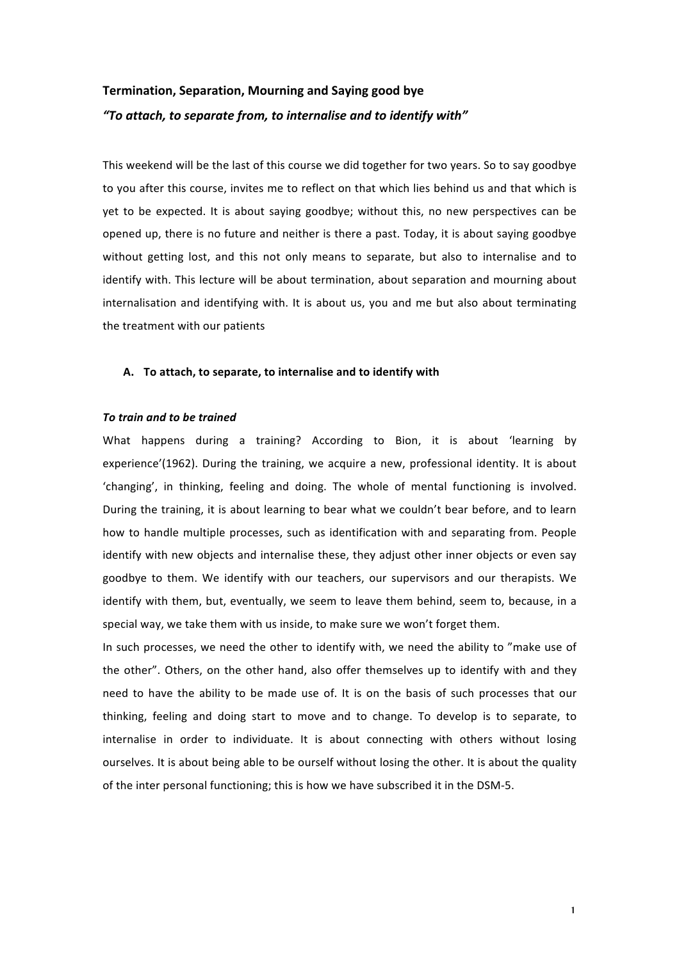# **Termination, Separation, Mourning and Saying good bye** *"To attach, to separate from, to internalise and to identify with"*

This weekend will be the last of this course we did together for two years. So to say goodbye to you after this course, invites me to reflect on that which lies behind us and that which is yet to be expected. It is about saying goodbye; without this, no new perspectives can be opened up, there is no future and neither is there a past. Today, it is about saying goodbye without getting lost, and this not only means to separate, but also to internalise and to identify with. This lecture will be about termination, about separation and mourning about internalisation and identifying with. It is about us, you and me but also about terminating the treatment with our patients

# A. To attach, to separate, to internalise and to identify with

# *To train and to be trained*

What happens during a training? According to Bion, it is about 'learning by experience'(1962). During the training, we acquire a new, professional identity. It is about 'changing', in thinking, feeling and doing. The whole of mental functioning is involved. During the training, it is about learning to bear what we couldn't bear before, and to learn how to handle multiple processes, such as identification with and separating from. People identify with new objects and internalise these, they adjust other inner objects or even say goodbye to them. We identify with our teachers, our supervisors and our therapists. We identify with them, but, eventually, we seem to leave them behind, seem to, because, in a special way, we take them with us inside, to make sure we won't forget them.

In such processes, we need the other to identify with, we need the ability to "make use of the other". Others, on the other hand, also offer themselves up to identify with and they need to have the ability to be made use of. It is on the basis of such processes that our thinking, feeling and doing start to move and to change. To develop is to separate, to internalise in order to individuate. It is about connecting with others without losing ourselves. It is about being able to be ourself without losing the other. It is about the quality of the inter personal functioning; this is how we have subscribed it in the DSM-5.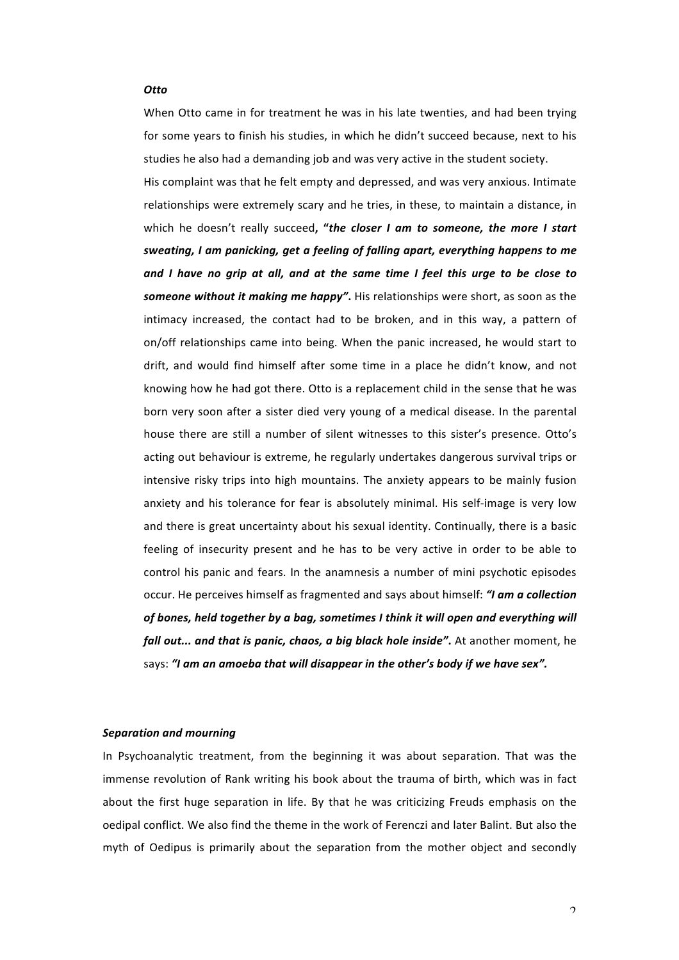#### *Otto*

When Otto came in for treatment he was in his late twenties, and had been trying for some years to finish his studies, in which he didn't succeed because, next to his studies he also had a demanding job and was very active in the student society.

His complaint was that he felt empty and depressed, and was very anxious. Intimate relationships were extremely scary and he tries, in these, to maintain a distance, in which he doesn't really succeed, "the closer I am to someone, the more I start *sweating, I am panicking, get a feeling of falling apart, everything happens to me* and I have no grip at all, and at the same time I feel this urge to be close to **someone without it making me happy".** His relationships were short, as soon as the intimacy increased, the contact had to be broken, and in this way, a pattern of on/off relationships came into being. When the panic increased, he would start to drift, and would find himself after some time in a place he didn't know, and not knowing how he had got there. Otto is a replacement child in the sense that he was born very soon after a sister died very young of a medical disease. In the parental house there are still a number of silent witnesses to this sister's presence. Otto's acting out behaviour is extreme, he regularly undertakes dangerous survival trips or intensive risky trips into high mountains. The anxiety appears to be mainly fusion anxiety and his tolerance for fear is absolutely minimal. His self-image is very low and there is great uncertainty about his sexual identity. Continually, there is a basic feeling of insecurity present and he has to be very active in order to be able to control his panic and fears. In the anamnesis a number of mini psychotic episodes occur. He perceives himself as fragmented and says about himself: *"I am a collection* of bones, held together by a bag, sometimes I think it will open and everything will *fall out...* and that is panic, chaos, a big black hole inside". At another moment, he says: "I am an amoeba that will disappear in the other's body if we have sex".

## *Separation and mourning*

In Psychoanalytic treatment, from the beginning it was about separation. That was the immense revolution of Rank writing his book about the trauma of birth, which was in fact about the first huge separation in life. By that he was criticizing Freuds emphasis on the oedipal conflict. We also find the theme in the work of Ferenczi and later Balint. But also the myth of Oedipus is primarily about the separation from the mother object and secondly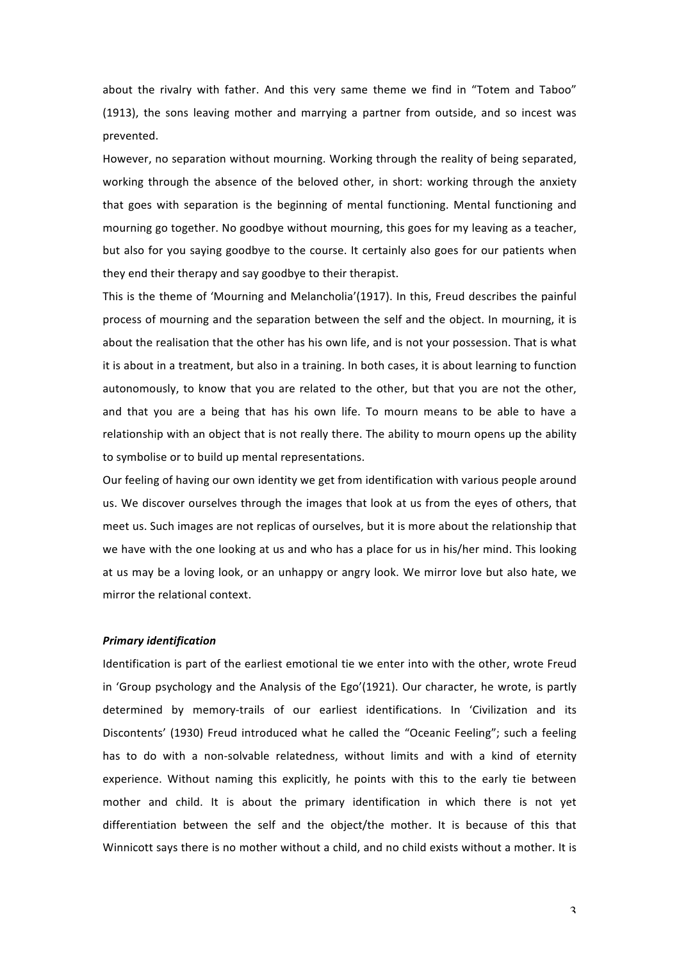about the rivalry with father. And this very same theme we find in "Totem and Taboo" (1913), the sons leaving mother and marrying a partner from outside, and so incest was prevented.

However, no separation without mourning. Working through the reality of being separated, working through the absence of the beloved other, in short: working through the anxiety that goes with separation is the beginning of mental functioning. Mental functioning and mourning go together. No goodbye without mourning, this goes for my leaving as a teacher, but also for you saying goodbye to the course. It certainly also goes for our patients when they end their therapy and say goodbye to their therapist.

This is the theme of 'Mourning and Melancholia'(1917). In this, Freud describes the painful process of mourning and the separation between the self and the object. In mourning, it is about the realisation that the other has his own life, and is not your possession. That is what it is about in a treatment, but also in a training. In both cases, it is about learning to function autonomously, to know that you are related to the other, but that you are not the other, and that you are a being that has his own life. To mourn means to be able to have a relationship with an object that is not really there. The ability to mourn opens up the ability to symbolise or to build up mental representations.

Our feeling of having our own identity we get from identification with various people around us. We discover ourselves through the images that look at us from the eyes of others, that meet us. Such images are not replicas of ourselves, but it is more about the relationship that we have with the one looking at us and who has a place for us in his/her mind. This looking at us may be a loving look, or an unhappy or angry look. We mirror love but also hate, we mirror the relational context.

# *Primary identification*

Identification is part of the earliest emotional tie we enter into with the other, wrote Freud in 'Group psychology and the Analysis of the Ego'(1921). Our character, he wrote, is partly determined by memory-trails of our earliest identifications. In 'Civilization and its Discontents' (1930) Freud introduced what he called the "Oceanic Feeling"; such a feeling has to do with a non-solvable relatedness, without limits and with a kind of eternity experience. Without naming this explicitly, he points with this to the early tie between mother and child. It is about the primary identification in which there is not yet differentiation between the self and the object/the mother. It is because of this that Winnicott says there is no mother without a child, and no child exists without a mother. It is

3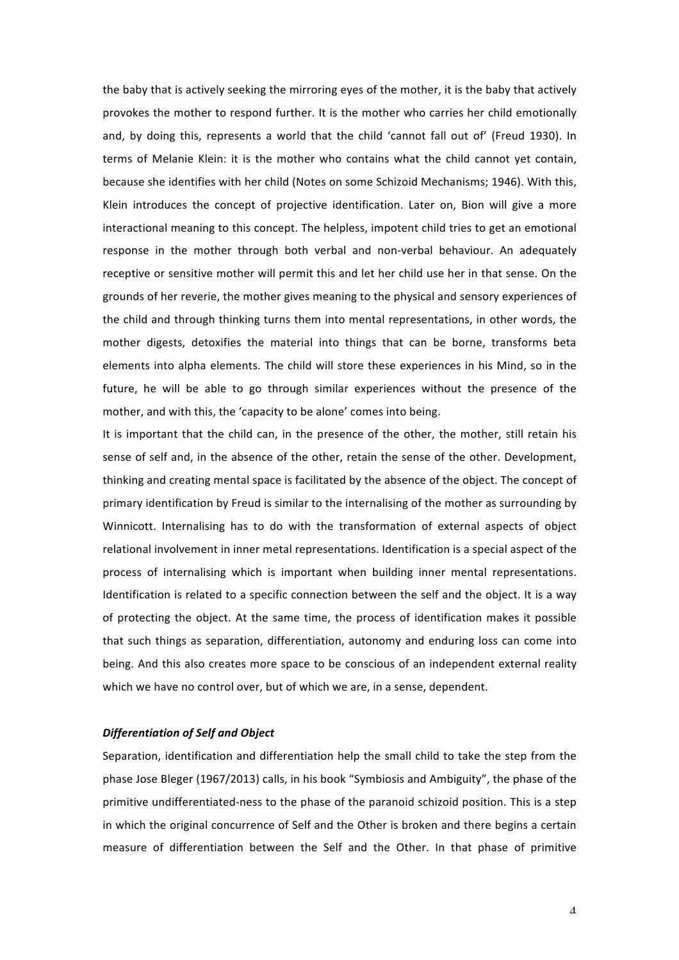the baby that is actively seeking the mirroring eyes of the mother, it is the baby that actively provokes the mother to respond further. It is the mother who carries her child emotionally and, by doing this, represents a world that the child 'cannot fall out of' (Freud 1930). In terms of Melanie Klein: it is the mother who contains what the child cannot yet contain, because she identifies with her child (Notes on some Schizoid Mechanisms; 1946). With this, Klein introduces the concept of projective identification. Later on, Bion will give a more interactional meaning to this concept. The helpless, impotent child tries to get an emotional response in the mother through both verbal and non-verbal behaviour. An adequately receptive or sensitive mother will permit this and let her child use her in that sense. On the grounds of her reverie, the mother gives meaning to the physical and sensory experiences of the child and through thinking turns them into mental representations, in other words, the mother digests, detoxifies the material into things that can be borne, transforms beta elements into alpha elements. The child will store these experiences in his Mind, so in the future, he will be able to go through similar experiences without the presence of the mother, and with this, the 'capacity to be alone' comes into being.

It is important that the child can, in the presence of the other, the mother, still retain his sense of self and, in the absence of the other, retain the sense of the other. Development, thinking and creating mental space is facilitated by the absence of the object. The concept of primary identification by Freud is similar to the internalising of the mother as surrounding by Winnicott. Internalising has to do with the transformation of external aspects of object relational involvement in inner metal representations. Identification is a special aspect of the process of internalising which is important when building inner mental representations. Identification is related to a specific connection between the self and the object. It is a way of protecting the object. At the same time, the process of identification makes it possible that such things as separation, differentiation, autonomy and enduring loss can come into being. And this also creates more space to be conscious of an independent external reality which we have no control over, but of which we are, in a sense, dependent.

## *Differentiation of Self and Object*

Separation, identification and differentiation help the small child to take the step from the phase Jose Bleger (1967/2013) calls, in his book "Symbiosis and Ambiguity", the phase of the primitive undifferentiated-ness to the phase of the paranoid schizoid position. This is a step in which the original concurrence of Self and the Other is broken and there begins a certain measure of differentiation between the Self and the Other. In that phase of primitive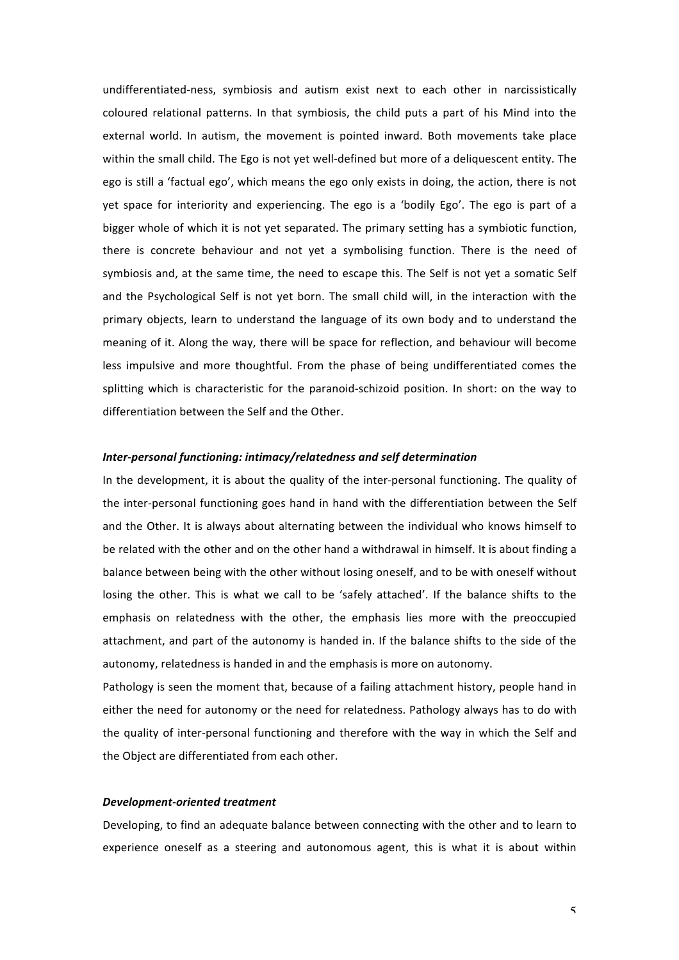undifferentiated-ness, symbiosis and autism exist next to each other in narcissistically coloured relational patterns. In that symbiosis, the child puts a part of his Mind into the external world. In autism, the movement is pointed inward. Both movements take place within the small child. The Ego is not yet well-defined but more of a deliquescent entity. The ego is still a 'factual ego', which means the ego only exists in doing, the action, there is not yet space for interiority and experiencing. The ego is a 'bodily Ego'. The ego is part of a bigger whole of which it is not yet separated. The primary setting has a symbiotic function, there is concrete behaviour and not yet a symbolising function. There is the need of symbiosis and, at the same time, the need to escape this. The Self is not yet a somatic Self and the Psychological Self is not yet born. The small child will, in the interaction with the primary objects, learn to understand the language of its own body and to understand the meaning of it. Along the way, there will be space for reflection, and behaviour will become less impulsive and more thoughtful. From the phase of being undifferentiated comes the splitting which is characteristic for the paranoid-schizoid position. In short: on the way to differentiation between the Self and the Other.

#### *Inter-personal functioning: intimacy/relatedness and self determination*

In the development, it is about the quality of the inter-personal functioning. The quality of the inter-personal functioning goes hand in hand with the differentiation between the Self and the Other. It is always about alternating between the individual who knows himself to be related with the other and on the other hand a withdrawal in himself. It is about finding a balance between being with the other without losing oneself, and to be with oneself without losing the other. This is what we call to be 'safely attached'. If the balance shifts to the emphasis on relatedness with the other, the emphasis lies more with the preoccupied attachment, and part of the autonomy is handed in. If the balance shifts to the side of the autonomy, relatedness is handed in and the emphasis is more on autonomy.

Pathology is seen the moment that, because of a failing attachment history, people hand in either the need for autonomy or the need for relatedness. Pathology always has to do with the quality of inter-personal functioning and therefore with the way in which the Self and the Object are differentiated from each other.

#### *Development-oriented treatment*

Developing, to find an adequate balance between connecting with the other and to learn to experience oneself as a steering and autonomous agent, this is what it is about within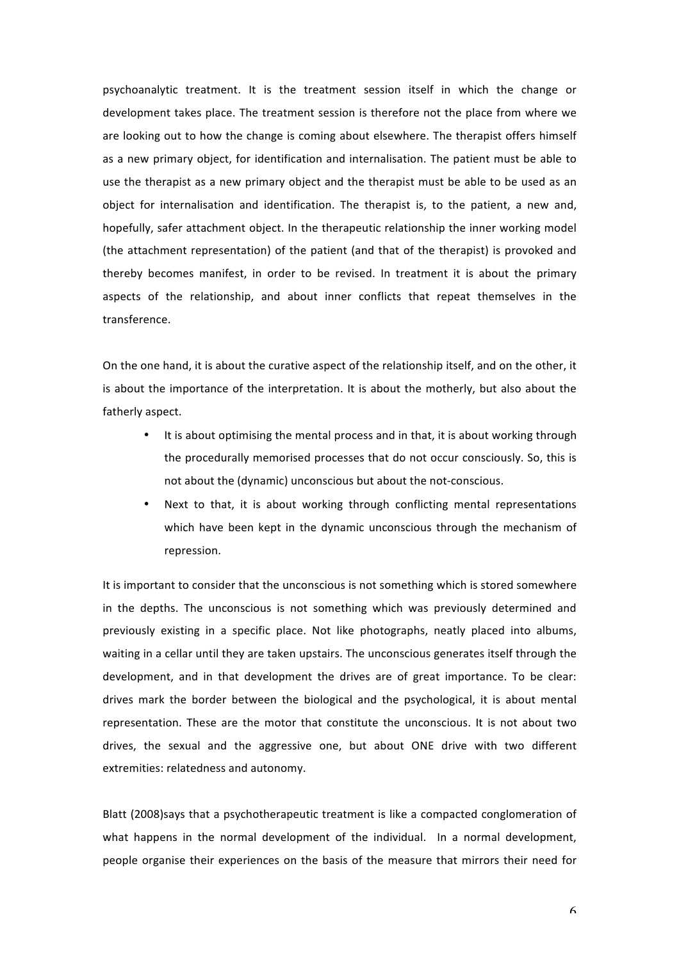psychoanalytic treatment. It is the treatment session itself in which the change or development takes place. The treatment session is therefore not the place from where we are looking out to how the change is coming about elsewhere. The therapist offers himself as a new primary object, for identification and internalisation. The patient must be able to use the therapist as a new primary object and the therapist must be able to be used as an object for internalisation and identification. The therapist is, to the patient, a new and, hopefully, safer attachment object. In the therapeutic relationship the inner working model (the attachment representation) of the patient (and that of the therapist) is provoked and thereby becomes manifest, in order to be revised. In treatment it is about the primary aspects of the relationship, and about inner conflicts that repeat themselves in the transference.

On the one hand, it is about the curative aspect of the relationship itself, and on the other, it is about the importance of the interpretation. It is about the motherly, but also about the fatherly aspect.

- It is about optimising the mental process and in that, it is about working through the procedurally memorised processes that do not occur consciously. So, this is not about the (dynamic) unconscious but about the not-conscious.
- Next to that, it is about working through conflicting mental representations which have been kept in the dynamic unconscious through the mechanism of repression.

It is important to consider that the unconscious is not something which is stored somewhere in the depths. The unconscious is not something which was previously determined and previously existing in a specific place. Not like photographs, neatly placed into albums, waiting in a cellar until they are taken upstairs. The unconscious generates itself through the development, and in that development the drives are of great importance. To be clear: drives mark the border between the biological and the psychological, it is about mental representation. These are the motor that constitute the unconscious. It is not about two drives, the sexual and the aggressive one, but about ONE drive with two different extremities: relatedness and autonomy.

Blatt (2008)says that a psychotherapeutic treatment is like a compacted conglomeration of what happens in the normal development of the individual. In a normal development, people organise their experiences on the basis of the measure that mirrors their need for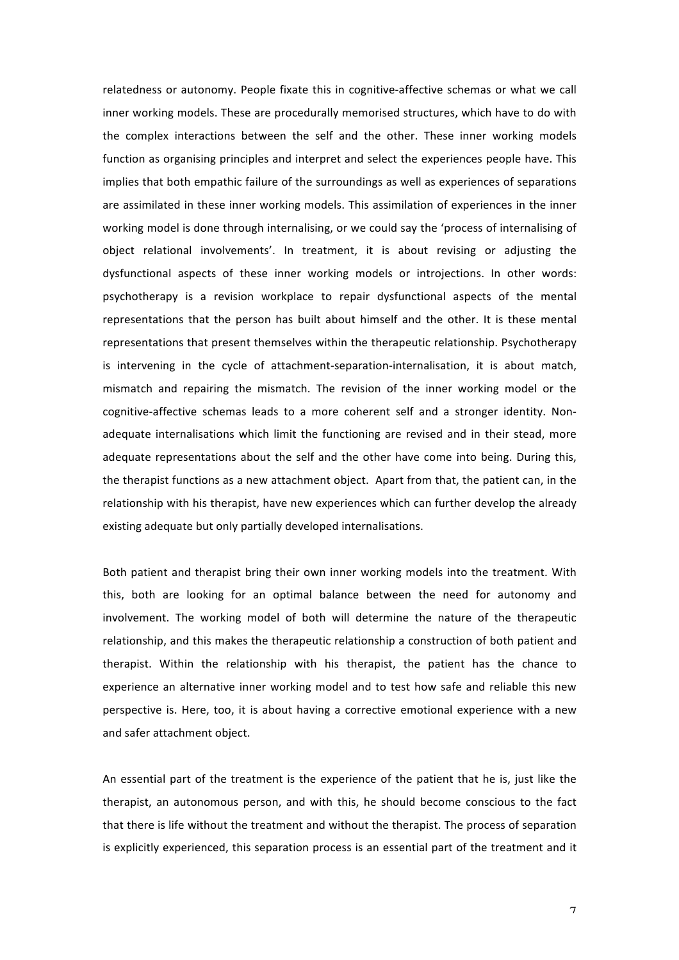relatedness or autonomy. People fixate this in cognitive-affective schemas or what we call inner working models. These are procedurally memorised structures, which have to do with the complex interactions between the self and the other. These inner working models function as organising principles and interpret and select the experiences people have. This implies that both empathic failure of the surroundings as well as experiences of separations are assimilated in these inner working models. This assimilation of experiences in the inner working model is done through internalising, or we could say the 'process of internalising of object relational involvements'. In treatment, it is about revising or adjusting the dysfunctional aspects of these inner working models or introjections. In other words: psychotherapy is a revision workplace to repair dysfunctional aspects of the mental representations that the person has built about himself and the other. It is these mental representations that present themselves within the therapeutic relationship. Psychotherapy is intervening in the cycle of attachment-separation-internalisation, it is about match, mismatch and repairing the mismatch. The revision of the inner working model or the cognitive-affective schemas leads to a more coherent self and a stronger identity. Nonadequate internalisations which limit the functioning are revised and in their stead, more adequate representations about the self and the other have come into being. During this, the therapist functions as a new attachment object. Apart from that, the patient can, in the relationship with his therapist, have new experiences which can further develop the already existing adequate but only partially developed internalisations.

Both patient and therapist bring their own inner working models into the treatment. With this, both are looking for an optimal balance between the need for autonomy and involvement. The working model of both will determine the nature of the therapeutic relationship, and this makes the therapeutic relationship a construction of both patient and therapist. Within the relationship with his therapist, the patient has the chance to experience an alternative inner working model and to test how safe and reliable this new perspective is. Here, too, it is about having a corrective emotional experience with a new and safer attachment object.

An essential part of the treatment is the experience of the patient that he is, just like the therapist, an autonomous person, and with this, he should become conscious to the fact that there is life without the treatment and without the therapist. The process of separation is explicitly experienced, this separation process is an essential part of the treatment and it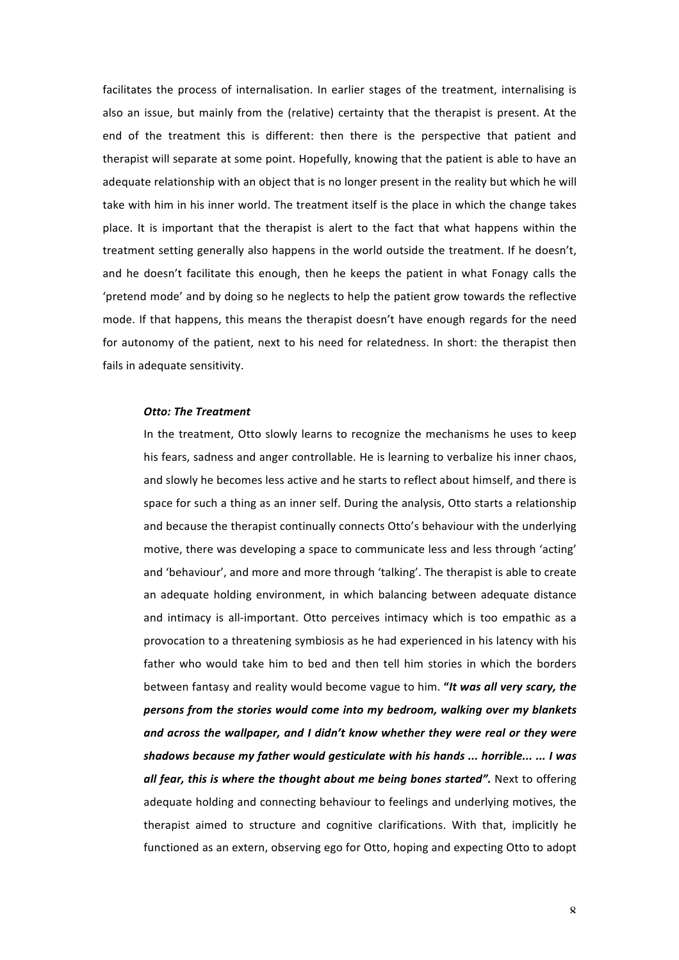facilitates the process of internalisation. In earlier stages of the treatment, internalising is also an issue, but mainly from the (relative) certainty that the therapist is present. At the end of the treatment this is different: then there is the perspective that patient and therapist will separate at some point. Hopefully, knowing that the patient is able to have an adequate relationship with an object that is no longer present in the reality but which he will take with him in his inner world. The treatment itself is the place in which the change takes place. It is important that the therapist is alert to the fact that what happens within the treatment setting generally also happens in the world outside the treatment. If he doesn't, and he doesn't facilitate this enough, then he keeps the patient in what Fonagy calls the 'pretend mode' and by doing so he neglects to help the patient grow towards the reflective mode. If that happens, this means the therapist doesn't have enough regards for the need for autonomy of the patient, next to his need for relatedness. In short: the therapist then fails in adequate sensitivity.

#### *Otto: The Treatment*

In the treatment, Otto slowly learns to recognize the mechanisms he uses to keep his fears, sadness and anger controllable. He is learning to verbalize his inner chaos, and slowly he becomes less active and he starts to reflect about himself, and there is space for such a thing as an inner self. During the analysis, Otto starts a relationship and because the therapist continually connects Otto's behaviour with the underlying motive, there was developing a space to communicate less and less through 'acting' and 'behaviour', and more and more through 'talking'. The therapist is able to create an adequate holding environment, in which balancing between adequate distance and intimacy is all-important. Otto perceives intimacy which is too empathic as a provocation to a threatening symbiosis as he had experienced in his latency with his father who would take him to bed and then tell him stories in which the borders between fantasy and reality would become vague to him. "It was all very scary, the persons from the stories would come into my bedroom, walking over my blankets and across the wallpaper, and I didn't know whether they were real or they were shadows because my father would gesticulate with his hands ... horrible... ... I was all fear, this is where the thought about me being bones started". Next to offering adequate holding and connecting behaviour to feelings and underlying motives, the therapist aimed to structure and cognitive clarifications. With that, implicitly he functioned as an extern, observing ego for Otto, hoping and expecting Otto to adopt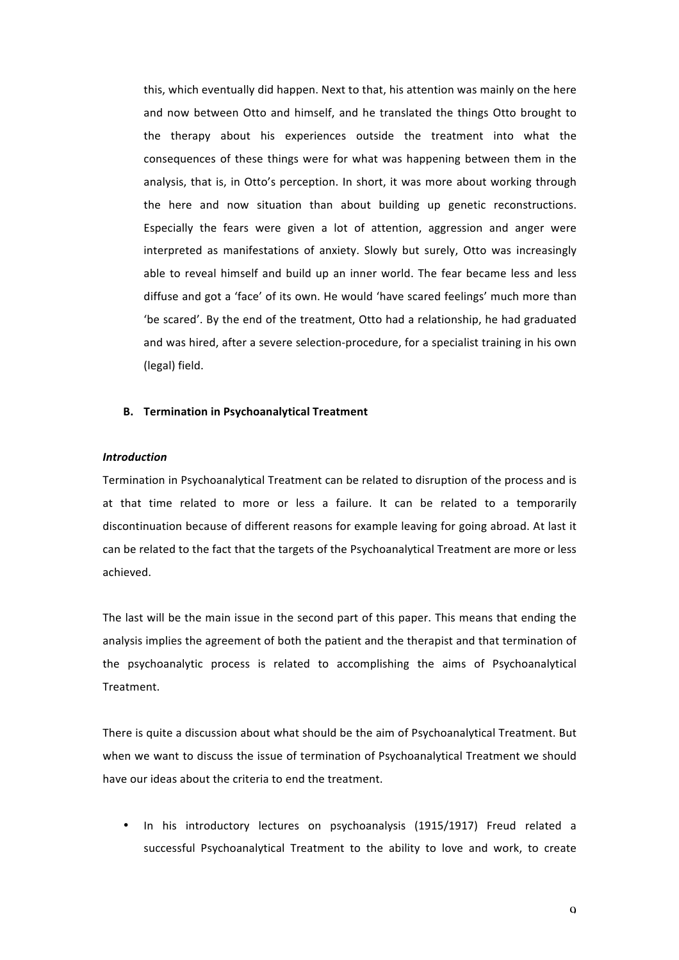this, which eventually did happen. Next to that, his attention was mainly on the here and now between Otto and himself, and he translated the things Otto brought to the therapy about his experiences outside the treatment into what the consequences of these things were for what was happening between them in the analysis, that is, in Otto's perception. In short, it was more about working through the here and now situation than about building up genetic reconstructions. Especially the fears were given a lot of attention, aggression and anger were interpreted as manifestations of anxiety. Slowly but surely, Otto was increasingly able to reveal himself and build up an inner world. The fear became less and less diffuse and got a 'face' of its own. He would 'have scared feelings' much more than 'be scared'. By the end of the treatment, Otto had a relationship, he had graduated and was hired, after a severe selection-procedure, for a specialist training in his own (legal) field.

#### **B.** Termination in Psychoanalytical Treatment

## *Introduction*

Termination in Psychoanalytical Treatment can be related to disruption of the process and is at that time related to more or less a failure. It can be related to a temporarily discontinuation because of different reasons for example leaving for going abroad. At last it can be related to the fact that the targets of the Psychoanalytical Treatment are more or less achieved. 

The last will be the main issue in the second part of this paper. This means that ending the analysis implies the agreement of both the patient and the therapist and that termination of the psychoanalytic process is related to accomplishing the aims of Psychoanalytical Treatment. 

There is quite a discussion about what should be the aim of Psychoanalytical Treatment. But when we want to discuss the issue of termination of Psychoanalytical Treatment we should have our ideas about the criteria to end the treatment.

In his introductory lectures on psychoanalysis (1915/1917) Freud related a successful Psychoanalytical Treatment to the ability to love and work, to create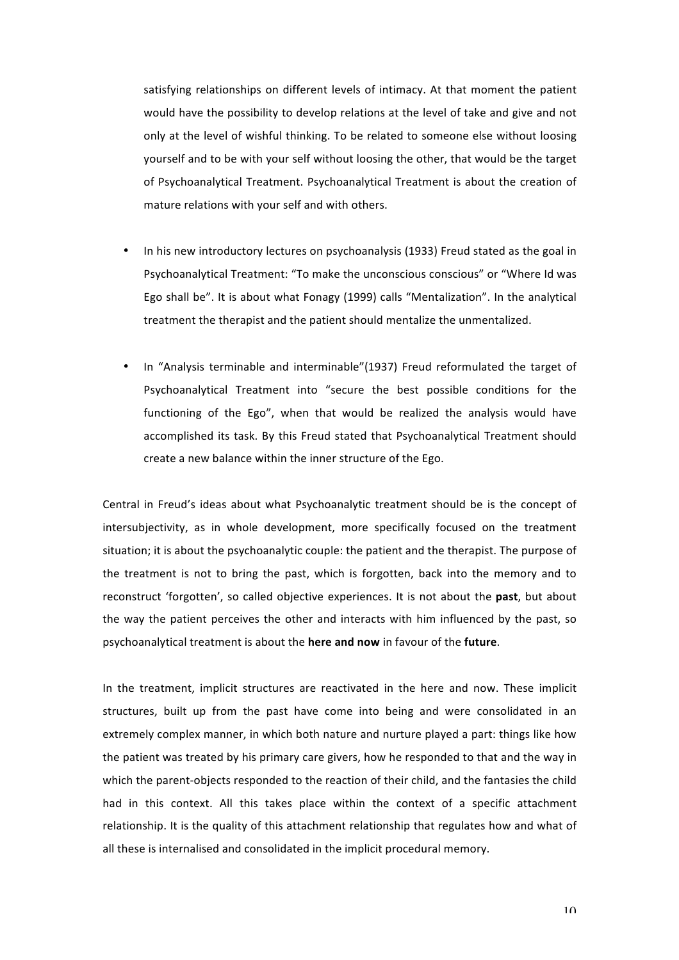satisfying relationships on different levels of intimacy. At that moment the patient would have the possibility to develop relations at the level of take and give and not only at the level of wishful thinking. To be related to someone else without loosing yourself and to be with your self without loosing the other, that would be the target of Psychoanalytical Treatment. Psychoanalytical Treatment is about the creation of mature relations with your self and with others.

- In his new introductory lectures on psychoanalysis (1933) Freud stated as the goal in Psychoanalytical Treatment: "To make the unconscious conscious" or "Where Id was Ego shall be". It is about what Fonagy (1999) calls "Mentalization". In the analytical treatment the therapist and the patient should mentalize the unmentalized.
- In "Analysis terminable and interminable"(1937) Freud reformulated the target of Psychoanalytical Treatment into "secure the best possible conditions for the functioning of the Ego", when that would be realized the analysis would have accomplished its task. By this Freud stated that Psychoanalytical Treatment should create a new balance within the inner structure of the Ego.

Central in Freud's ideas about what Psychoanalytic treatment should be is the concept of intersubjectivity, as in whole development, more specifically focused on the treatment situation; it is about the psychoanalytic couple: the patient and the therapist. The purpose of the treatment is not to bring the past, which is forgotten, back into the memory and to reconstruct 'forgotten', so called objective experiences. It is not about the **past**, but about the way the patient perceives the other and interacts with him influenced by the past, so psychoanalytical treatment is about the **here and now** in favour of the **future**.

In the treatment, implicit structures are reactivated in the here and now. These implicit structures, built up from the past have come into being and were consolidated in an extremely complex manner, in which both nature and nurture played a part: things like how the patient was treated by his primary care givers, how he responded to that and the way in which the parent-objects responded to the reaction of their child, and the fantasies the child had in this context. All this takes place within the context of a specific attachment relationship. It is the quality of this attachment relationship that regulates how and what of all these is internalised and consolidated in the implicit procedural memory.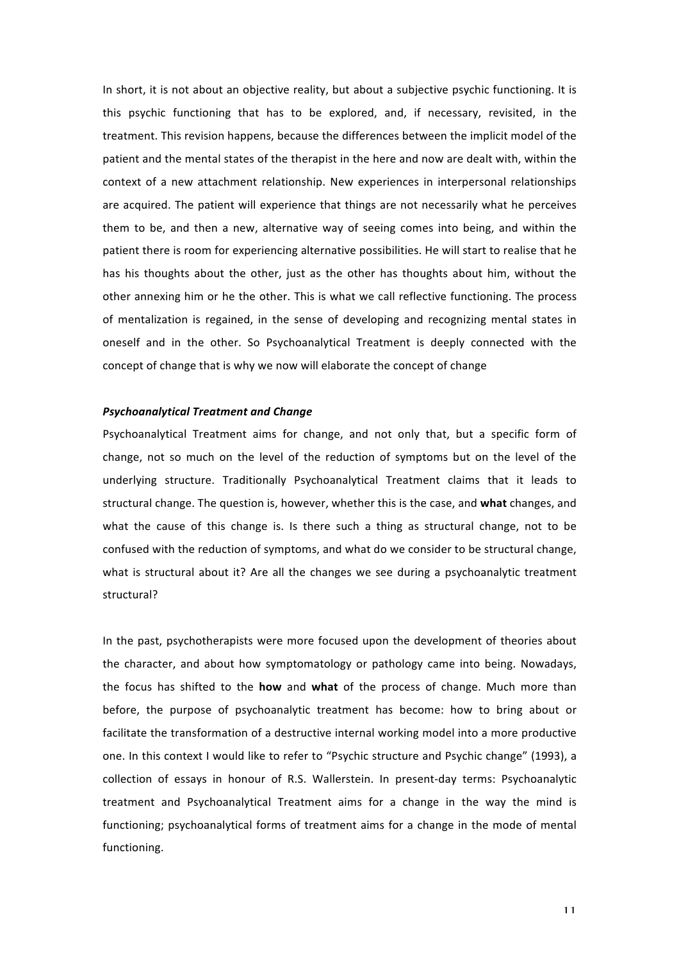In short, it is not about an objective reality, but about a subjective psychic functioning. It is this psychic functioning that has to be explored, and, if necessary, revisited, in the treatment. This revision happens, because the differences between the implicit model of the patient and the mental states of the therapist in the here and now are dealt with, within the context of a new attachment relationship. New experiences in interpersonal relationships are acquired. The patient will experience that things are not necessarily what he perceives them to be, and then a new, alternative way of seeing comes into being, and within the patient there is room for experiencing alternative possibilities. He will start to realise that he has his thoughts about the other, just as the other has thoughts about him, without the other annexing him or he the other. This is what we call reflective functioning. The process of mentalization is regained, in the sense of developing and recognizing mental states in oneself and in the other. So Psychoanalytical Treatment is deeply connected with the concept of change that is why we now will elaborate the concept of change

## *Psychoanalytical Treatment and Change*

Psychoanalytical Treatment aims for change, and not only that, but a specific form of change, not so much on the level of the reduction of symptoms but on the level of the underlying structure. Traditionally Psychoanalytical Treatment claims that it leads to structural change. The question is, however, whether this is the case, and what changes, and what the cause of this change is. Is there such a thing as structural change, not to be confused with the reduction of symptoms, and what do we consider to be structural change, what is structural about it? Are all the changes we see during a psychoanalytic treatment structural? 

In the past, psychotherapists were more focused upon the development of theories about the character, and about how symptomatology or pathology came into being. Nowadays, the focus has shifted to the **how** and what of the process of change. Much more than before, the purpose of psychoanalytic treatment has become: how to bring about or facilitate the transformation of a destructive internal working model into a more productive one. In this context I would like to refer to "Psychic structure and Psychic change" (1993), a collection of essays in honour of R.S. Wallerstein. In present-day terms: Psychoanalytic treatment and Psychoanalytical Treatment aims for a change in the way the mind is functioning; psychoanalytical forms of treatment aims for a change in the mode of mental functioning.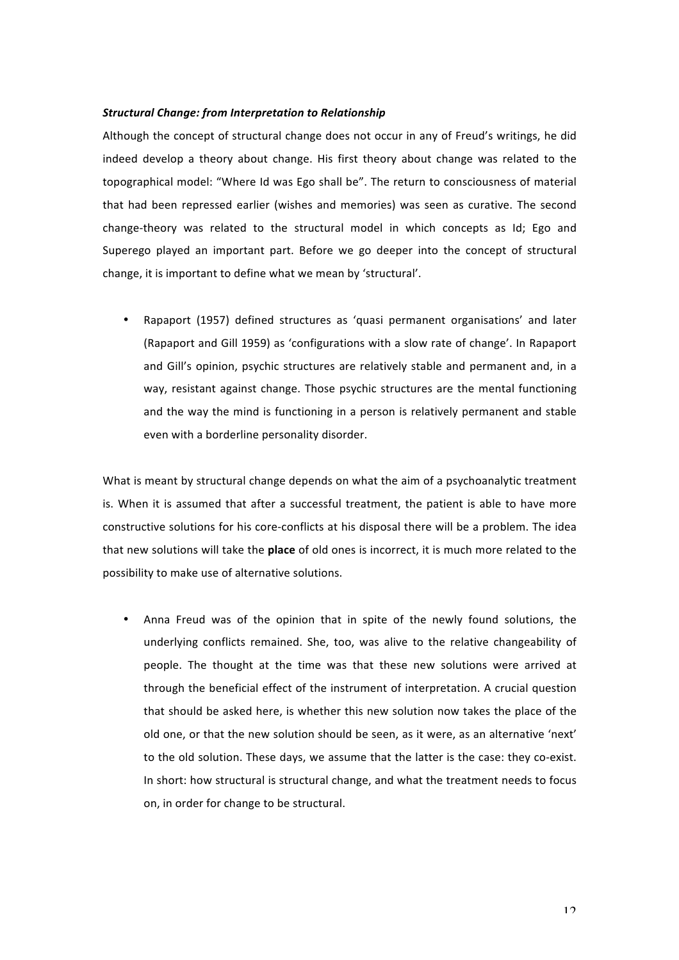#### **Structural Change: from Interpretation to Relationship**

Although the concept of structural change does not occur in any of Freud's writings, he did indeed develop a theory about change. His first theory about change was related to the topographical model: "Where Id was Ego shall be". The return to consciousness of material that had been repressed earlier (wishes and memories) was seen as curative. The second change-theory was related to the structural model in which concepts as Id; Ego and Superego played an important part. Before we go deeper into the concept of structural change, it is important to define what we mean by 'structural'.

• Rapaport (1957) defined structures as 'quasi permanent organisations' and later (Rapaport and Gill 1959) as 'configurations with a slow rate of change'. In Rapaport and Gill's opinion, psychic structures are relatively stable and permanent and, in a way, resistant against change. Those psychic structures are the mental functioning and the way the mind is functioning in a person is relatively permanent and stable even with a borderline personality disorder.

What is meant by structural change depends on what the aim of a psychoanalytic treatment is. When it is assumed that after a successful treatment, the patient is able to have more constructive solutions for his core-conflicts at his disposal there will be a problem. The idea that new solutions will take the **place** of old ones is incorrect, it is much more related to the possibility to make use of alternative solutions.

Anna Freud was of the opinion that in spite of the newly found solutions, the underlying conflicts remained. She, too, was alive to the relative changeability of people. The thought at the time was that these new solutions were arrived at through the beneficial effect of the instrument of interpretation. A crucial question that should be asked here, is whether this new solution now takes the place of the old one, or that the new solution should be seen, as it were, as an alternative 'next' to the old solution. These days, we assume that the latter is the case: they co-exist. In short: how structural is structural change, and what the treatment needs to focus on, in order for change to be structural.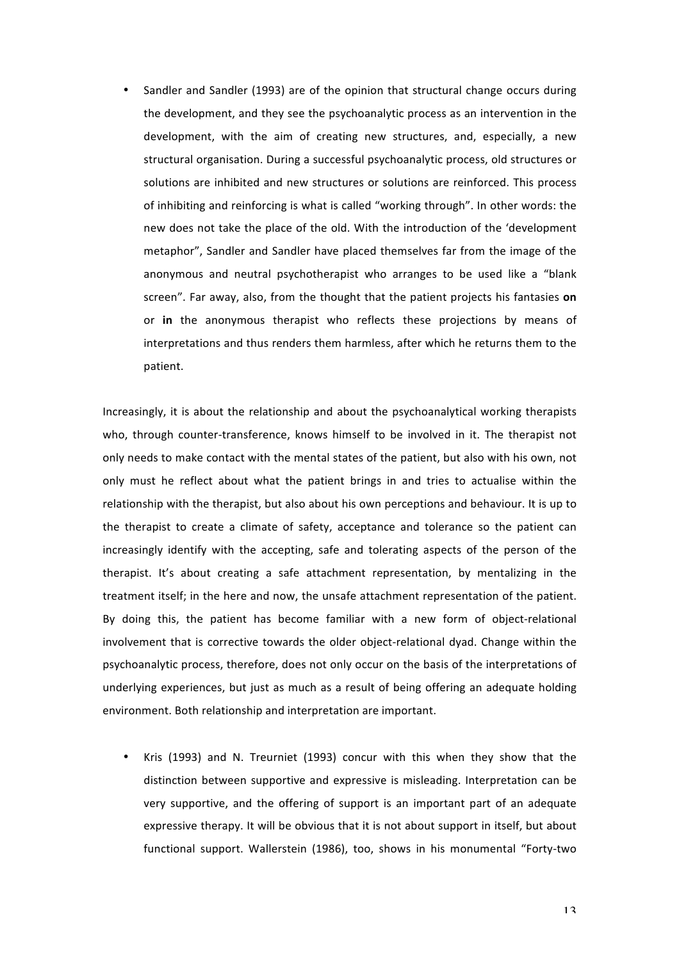• Sandler and Sandler (1993) are of the opinion that structural change occurs during the development, and they see the psychoanalytic process as an intervention in the development, with the aim of creating new structures, and, especially, a new structural organisation. During a successful psychoanalytic process, old structures or solutions are inhibited and new structures or solutions are reinforced. This process of inhibiting and reinforcing is what is called "working through". In other words: the new does not take the place of the old. With the introduction of the 'development metaphor", Sandler and Sandler have placed themselves far from the image of the anonymous and neutral psychotherapist who arranges to be used like a "blank screen". Far away, also, from the thought that the patient projects his fantasies on or in the anonymous therapist who reflects these projections by means of interpretations and thus renders them harmless, after which he returns them to the patient. 

Increasingly, it is about the relationship and about the psychoanalytical working therapists who, through counter-transference, knows himself to be involved in it. The therapist not only needs to make contact with the mental states of the patient, but also with his own, not only must he reflect about what the patient brings in and tries to actualise within the relationship with the therapist, but also about his own perceptions and behaviour. It is up to the therapist to create a climate of safety, acceptance and tolerance so the patient can increasingly identify with the accepting, safe and tolerating aspects of the person of the therapist. It's about creating a safe attachment representation, by mentalizing in the treatment itself; in the here and now, the unsafe attachment representation of the patient. By doing this, the patient has become familiar with a new form of object-relational involvement that is corrective towards the older object-relational dyad. Change within the psychoanalytic process, therefore, does not only occur on the basis of the interpretations of underlying experiences, but just as much as a result of being offering an adequate holding environment. Both relationship and interpretation are important.

Kris (1993) and N. Treurniet (1993) concur with this when they show that the distinction between supportive and expressive is misleading. Interpretation can be very supportive, and the offering of support is an important part of an adequate expressive therapy. It will be obvious that it is not about support in itself, but about functional support. Wallerstein (1986), too, shows in his monumental "Forty-two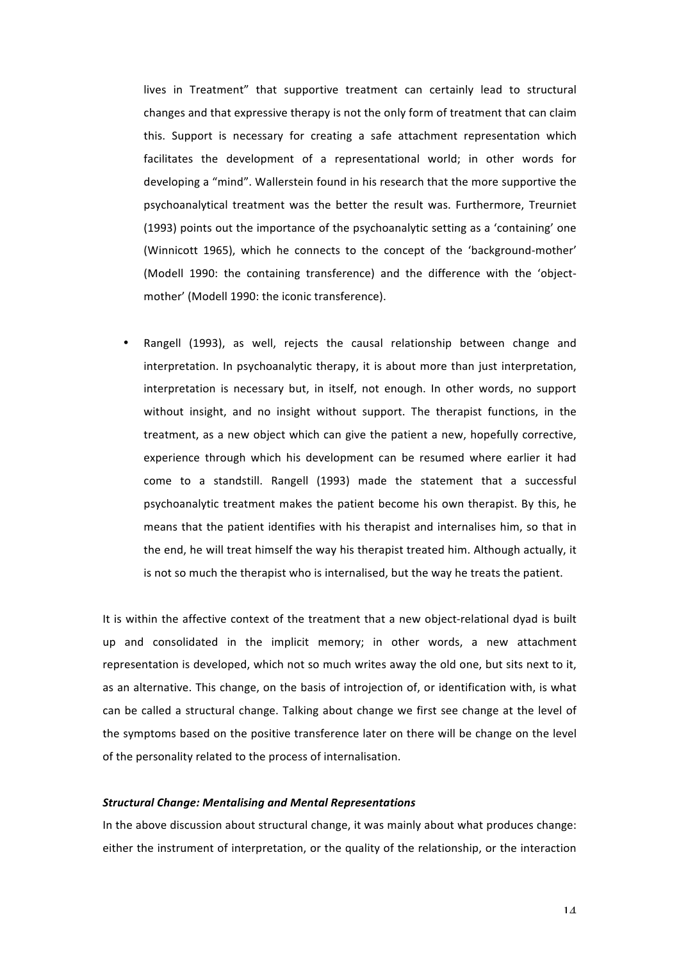lives in Treatment" that supportive treatment can certainly lead to structural changes and that expressive therapy is not the only form of treatment that can claim this. Support is necessary for creating a safe attachment representation which facilitates the development of a representational world; in other words for developing a "mind". Wallerstein found in his research that the more supportive the psychoanalytical treatment was the better the result was. Furthermore, Treurniet (1993) points out the importance of the psychoanalytic setting as a 'containing' one (Winnicott 1965), which he connects to the concept of the 'background-mother' (Modell 1990: the containing transference) and the difference with the 'objectmother' (Modell 1990: the iconic transference).

Rangell (1993), as well, rejects the causal relationship between change and interpretation. In psychoanalytic therapy, it is about more than just interpretation, interpretation is necessary but, in itself, not enough. In other words, no support without insight, and no insight without support. The therapist functions, in the treatment, as a new object which can give the patient a new, hopefully corrective, experience through which his development can be resumed where earlier it had come to a standstill. Rangell (1993) made the statement that a successful psychoanalytic treatment makes the patient become his own therapist. By this, he means that the patient identifies with his therapist and internalises him, so that in the end, he will treat himself the way his therapist treated him. Although actually, it is not so much the therapist who is internalised, but the way he treats the patient.

It is within the affective context of the treatment that a new object-relational dyad is built up and consolidated in the implicit memory; in other words, a new attachment representation is developed, which not so much writes away the old one, but sits next to it, as an alternative. This change, on the basis of introjection of, or identification with, is what can be called a structural change. Talking about change we first see change at the level of the symptoms based on the positive transference later on there will be change on the level of the personality related to the process of internalisation.

#### *Structural Change: Mentalising and Mental Representations*

In the above discussion about structural change, it was mainly about what produces change: either the instrument of interpretation, or the quality of the relationship, or the interaction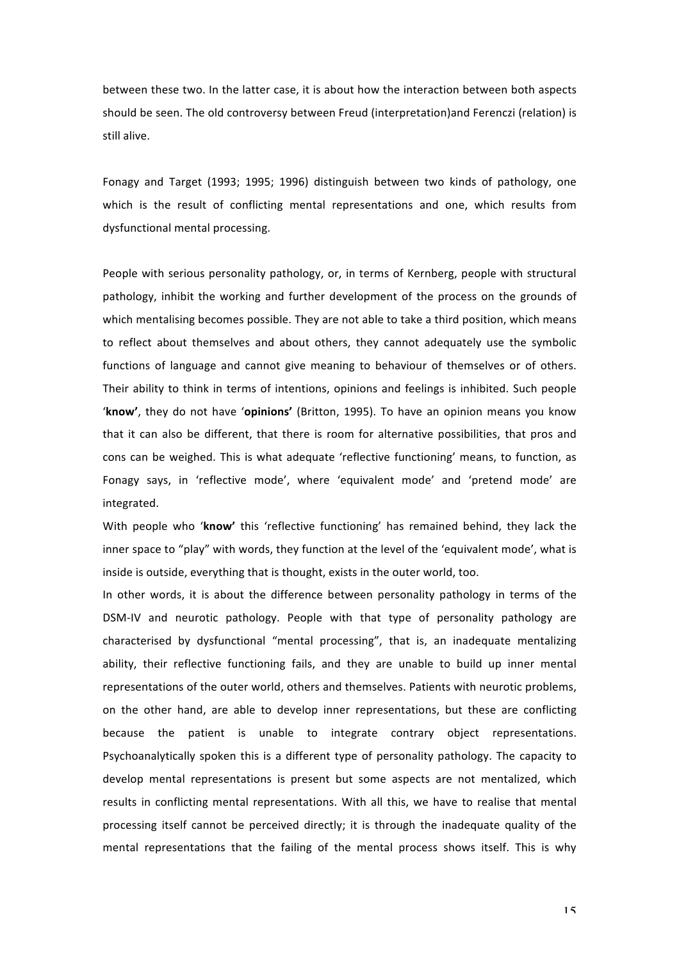between these two. In the latter case, it is about how the interaction between both aspects should be seen. The old controversy between Freud (interpretation)and Ferenczi (relation) is still alive.

Fonagy and Target (1993; 1995; 1996) distinguish between two kinds of pathology, one which is the result of conflicting mental representations and one, which results from dysfunctional mental processing.

People with serious personality pathology, or, in terms of Kernberg, people with structural pathology, inhibit the working and further development of the process on the grounds of which mentalising becomes possible. They are not able to take a third position, which means to reflect about themselves and about others, they cannot adequately use the symbolic functions of language and cannot give meaning to behaviour of themselves or of others. Their ability to think in terms of intentions, opinions and feelings is inhibited. Such people 'know', they do not have 'opinions' (Britton, 1995). To have an opinion means you know that it can also be different, that there is room for alternative possibilities, that pros and cons can be weighed. This is what adequate 'reflective functioning' means, to function, as Fonagy says, in 'reflective mode', where 'equivalent mode' and 'pretend mode' are integrated.

With people who 'know' this 'reflective functioning' has remained behind, they lack the inner space to "play" with words, they function at the level of the 'equivalent mode', what is inside is outside, everything that is thought, exists in the outer world, too.

In other words, it is about the difference between personality pathology in terms of the DSM-IV and neurotic pathology. People with that type of personality pathology are characterised by dysfunctional "mental processing", that is, an inadequate mentalizing ability, their reflective functioning fails, and they are unable to build up inner mental representations of the outer world, others and themselves. Patients with neurotic problems, on the other hand, are able to develop inner representations, but these are conflicting because the patient is unable to integrate contrary object representations. Psychoanalytically spoken this is a different type of personality pathology. The capacity to develop mental representations is present but some aspects are not mentalized, which results in conflicting mental representations. With all this, we have to realise that mental processing itself cannot be perceived directly; it is through the inadequate quality of the mental representations that the failing of the mental process shows itself. This is why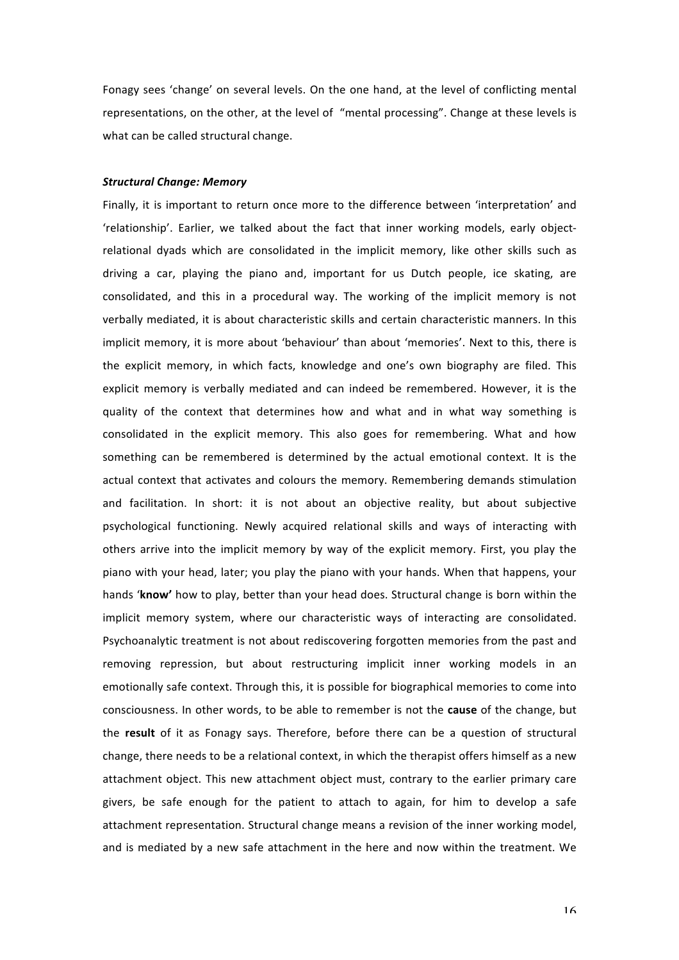Fonagy sees 'change' on several levels. On the one hand, at the level of conflicting mental representations, on the other, at the level of "mental processing". Change at these levels is what can be called structural change.

#### *Structural Change: Memory*

Finally, it is important to return once more to the difference between 'interpretation' and 'relationship'. Earlier, we talked about the fact that inner working models, early objectrelational dyads which are consolidated in the implicit memory, like other skills such as driving a car, playing the piano and, important for us Dutch people, ice skating, are consolidated, and this in a procedural way. The working of the implicit memory is not verbally mediated, it is about characteristic skills and certain characteristic manners. In this implicit memory, it is more about 'behaviour' than about 'memories'. Next to this, there is the explicit memory, in which facts, knowledge and one's own biography are filed. This explicit memory is verbally mediated and can indeed be remembered. However, it is the quality of the context that determines how and what and in what way something is consolidated in the explicit memory. This also goes for remembering. What and how something can be remembered is determined by the actual emotional context. It is the actual context that activates and colours the memory. Remembering demands stimulation and facilitation. In short: it is not about an objective reality, but about subjective psychological functioning. Newly acquired relational skills and ways of interacting with others arrive into the implicit memory by way of the explicit memory. First, you play the piano with your head, later; you play the piano with your hands. When that happens, your hands 'know' how to play, better than your head does. Structural change is born within the implicit memory system, where our characteristic ways of interacting are consolidated. Psychoanalytic treatment is not about rediscovering forgotten memories from the past and removing repression, but about restructuring implicit inner working models in an emotionally safe context. Through this, it is possible for biographical memories to come into consciousness. In other words, to be able to remember is not the **cause** of the change, but the **result** of it as Fonagy says. Therefore, before there can be a question of structural change, there needs to be a relational context, in which the therapist offers himself as a new attachment object. This new attachment object must, contrary to the earlier primary care givers, be safe enough for the patient to attach to again, for him to develop a safe attachment representation. Structural change means a revision of the inner working model, and is mediated by a new safe attachment in the here and now within the treatment. We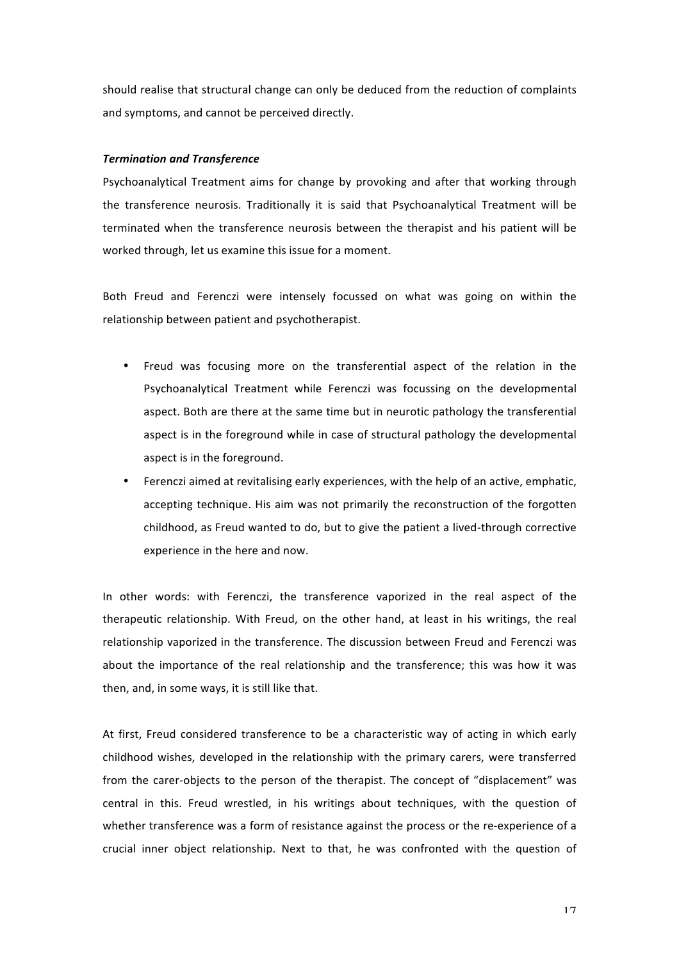should realise that structural change can only be deduced from the reduction of complaints and symptoms, and cannot be perceived directly.

## *Termination and Transference*

Psychoanalytical Treatment aims for change by provoking and after that working through the transference neurosis. Traditionally it is said that Psychoanalytical Treatment will be terminated when the transference neurosis between the therapist and his patient will be worked through, let us examine this issue for a moment.

Both Freud and Ferenczi were intensely focussed on what was going on within the relationship between patient and psychotherapist.

- Freud was focusing more on the transferential aspect of the relation in the Psychoanalytical Treatment while Ferenczi was focussing on the developmental aspect. Both are there at the same time but in neurotic pathology the transferential aspect is in the foreground while in case of structural pathology the developmental aspect is in the foreground.
- Ferenczi aimed at revitalising early experiences, with the help of an active, emphatic, accepting technique. His aim was not primarily the reconstruction of the forgotten childhood, as Freud wanted to do, but to give the patient a lived-through corrective experience in the here and now.

In other words: with Ferenczi, the transference vaporized in the real aspect of the therapeutic relationship. With Freud, on the other hand, at least in his writings, the real relationship vaporized in the transference. The discussion between Freud and Ferenczi was about the importance of the real relationship and the transference; this was how it was then, and, in some ways, it is still like that.

At first, Freud considered transference to be a characteristic way of acting in which early childhood wishes, developed in the relationship with the primary carers, were transferred from the carer-objects to the person of the therapist. The concept of "displacement" was central in this. Freud wrestled, in his writings about techniques, with the question of whether transference was a form of resistance against the process or the re-experience of a crucial inner object relationship. Next to that, he was confronted with the question of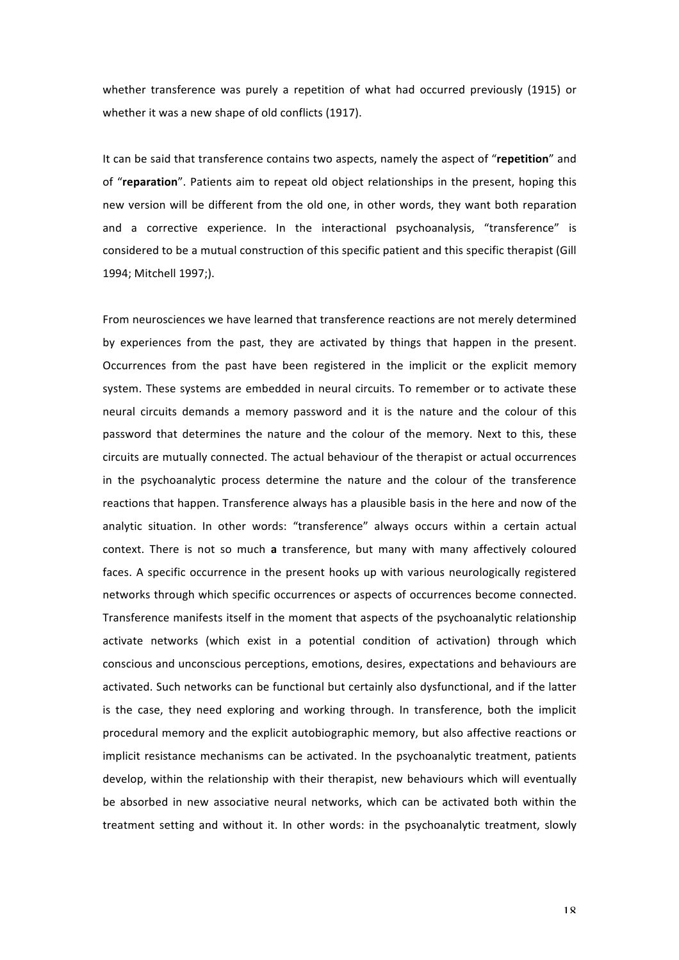whether transference was purely a repetition of what had occurred previously (1915) or whether it was a new shape of old conflicts (1917).

It can be said that transference contains two aspects, namely the aspect of "repetition" and of "reparation". Patients aim to repeat old object relationships in the present, hoping this new version will be different from the old one, in other words, they want both reparation and a corrective experience. In the interactional psychoanalysis, "transference" is considered to be a mutual construction of this specific patient and this specific therapist (Gill 1994; Mitchell 1997;).

From neurosciences we have learned that transference reactions are not merely determined by experiences from the past, they are activated by things that happen in the present. Occurrences from the past have been registered in the implicit or the explicit memory system. These systems are embedded in neural circuits. To remember or to activate these neural circuits demands a memory password and it is the nature and the colour of this password that determines the nature and the colour of the memory. Next to this, these circuits are mutually connected. The actual behaviour of the therapist or actual occurrences in the psychoanalytic process determine the nature and the colour of the transference reactions that happen. Transference always has a plausible basis in the here and now of the analytic situation. In other words: "transference" always occurs within a certain actual context. There is not so much a transference, but many with many affectively coloured faces. A specific occurrence in the present hooks up with various neurologically registered networks through which specific occurrences or aspects of occurrences become connected. Transference manifests itself in the moment that aspects of the psychoanalytic relationship activate networks (which exist in a potential condition of activation) through which conscious and unconscious perceptions, emotions, desires, expectations and behaviours are activated. Such networks can be functional but certainly also dysfunctional, and if the latter is the case, they need exploring and working through. In transference, both the implicit procedural memory and the explicit autobiographic memory, but also affective reactions or implicit resistance mechanisms can be activated. In the psychoanalytic treatment, patients develop, within the relationship with their therapist, new behaviours which will eventually be absorbed in new associative neural networks, which can be activated both within the treatment setting and without it. In other words: in the psychoanalytic treatment, slowly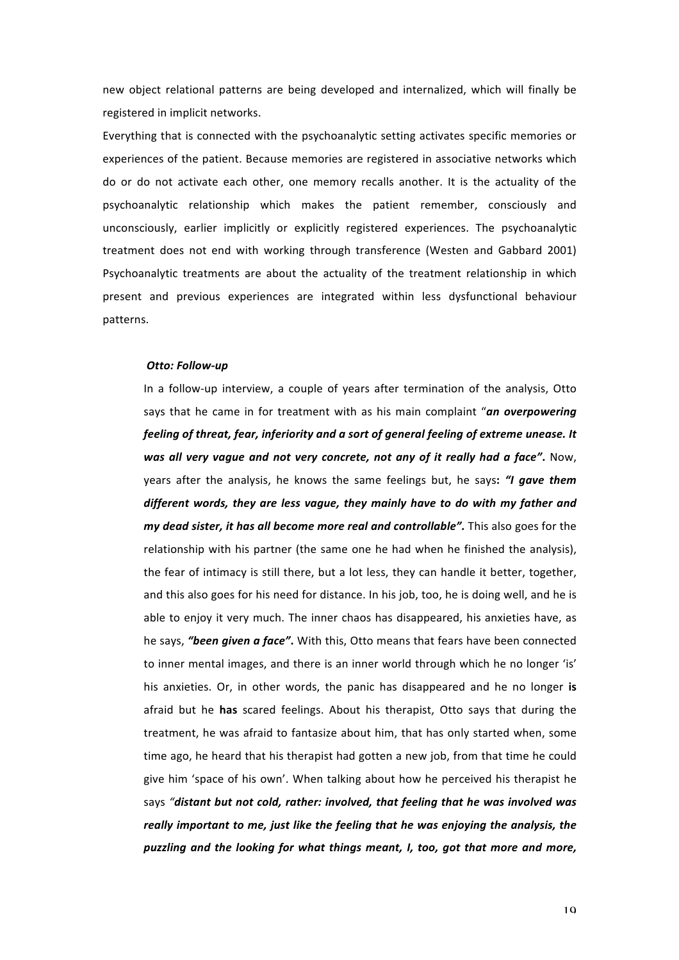new object relational patterns are being developed and internalized, which will finally be registered in implicit networks.

Everything that is connected with the psychoanalytic setting activates specific memories or experiences of the patient. Because memories are registered in associative networks which do or do not activate each other, one memory recalls another. It is the actuality of the psychoanalytic relationship which makes the patient remember, consciously and unconsciously, earlier implicitly or explicitly registered experiences. The psychoanalytic treatment does not end with working through transference (Westen and Gabbard 2001) Psychoanalytic treatments are about the actuality of the treatment relationship in which present and previous experiences are integrated within less dysfunctional behaviour patterns.

## **Otto: Follow-up**

In a follow-up interview, a couple of years after termination of the analysis, Otto says that he came in for treatment with as his main complaint "an overpowering feeling of threat, fear, inferiority and a sort of general feeling of extreme unease. It *was all very vague and not very concrete, not any of it really had a face"***. Now,** years after the analysis, he knows the same feelings but, he says: "I gave them *different words, they are less vague, they mainly have to do with my father and my* dead sister, it has all become more real and controllable". This also goes for the relationship with his partner (the same one he had when he finished the analysis), the fear of intimacy is still there, but a lot less, they can handle it better, together, and this also goes for his need for distance. In his job, too, he is doing well, and he is able to enjoy it very much. The inner chaos has disappeared, his anxieties have, as he says, "been given a face". With this, Otto means that fears have been connected to inner mental images, and there is an inner world through which he no longer 'is' his anxieties. Or, in other words, the panic has disappeared and he no longer is afraid but he **has** scared feelings. About his therapist, Otto says that during the treatment, he was afraid to fantasize about him, that has only started when, some time ago, he heard that his therapist had gotten a new job, from that time he could give him 'space of his own'. When talking about how he perceived his therapist he says "distant but not cold, rather: involved, that feeling that he was involved was *really important to me, just like the feeling that he was enjoying the analysis, the puzzling and the looking for what things meant, I, too, got that more and more,*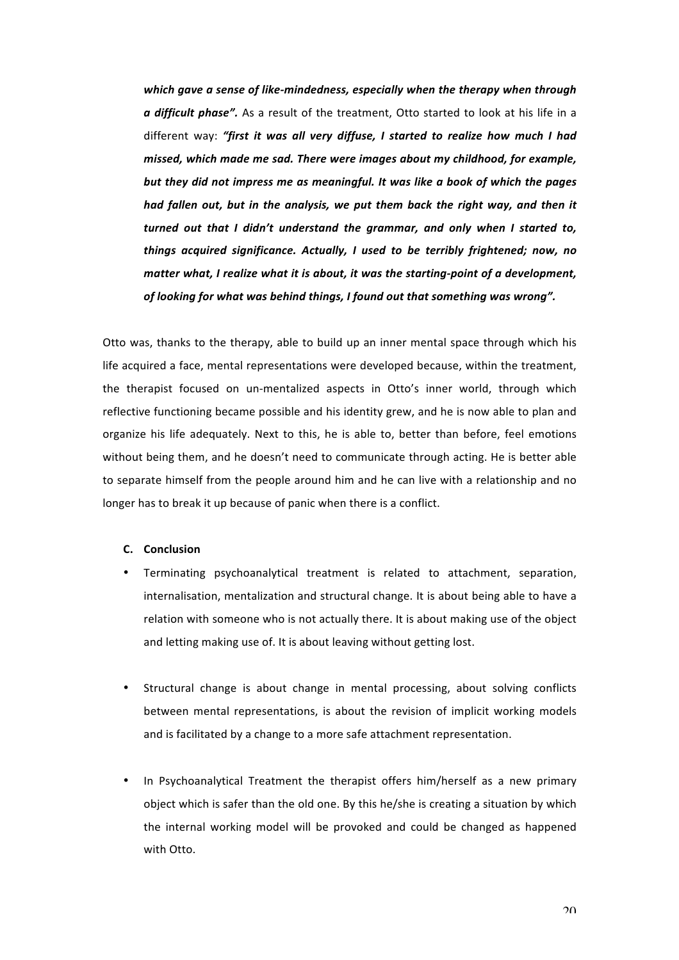which gave a sense of like-mindedness, especially when the therapy when through *a* difficult phase". As a result of the treatment, Otto started to look at his life in a different way: "first it was all very diffuse, I started to realize how much I had *missed, which made me sad. There were images about my childhood, for example, but they did not impress me as meaningful. It was like a book of which the pages had fallen out, but in the analysis, we put them back the right way, and then it turned* out that I didn't understand the grammar, and only when I started to, *things acquired significance. Actually, I used to be terribly frightened; now, no matter* what, I realize what it is about, it was the starting-point of a development, of looking for what was behind things, I found out that something was wrong".

Otto was, thanks to the therapy, able to build up an inner mental space through which his life acquired a face, mental representations were developed because, within the treatment, the therapist focused on un-mentalized aspects in Otto's inner world, through which reflective functioning became possible and his identity grew, and he is now able to plan and organize his life adequately. Next to this, he is able to, better than before, feel emotions without being them, and he doesn't need to communicate through acting. He is better able to separate himself from the people around him and he can live with a relationship and no longer has to break it up because of panic when there is a conflict.

## **C. Conclusion**

- Terminating psychoanalytical treatment is related to attachment, separation, internalisation, mentalization and structural change. It is about being able to have a relation with someone who is not actually there. It is about making use of the object and letting making use of. It is about leaving without getting lost.
- Structural change is about change in mental processing, about solving conflicts between mental representations, is about the revision of implicit working models and is facilitated by a change to a more safe attachment representation.
- In Psychoanalytical Treatment the therapist offers him/herself as a new primary object which is safer than the old one. By this he/she is creating a situation by which the internal working model will be provoked and could be changed as happened with Otto.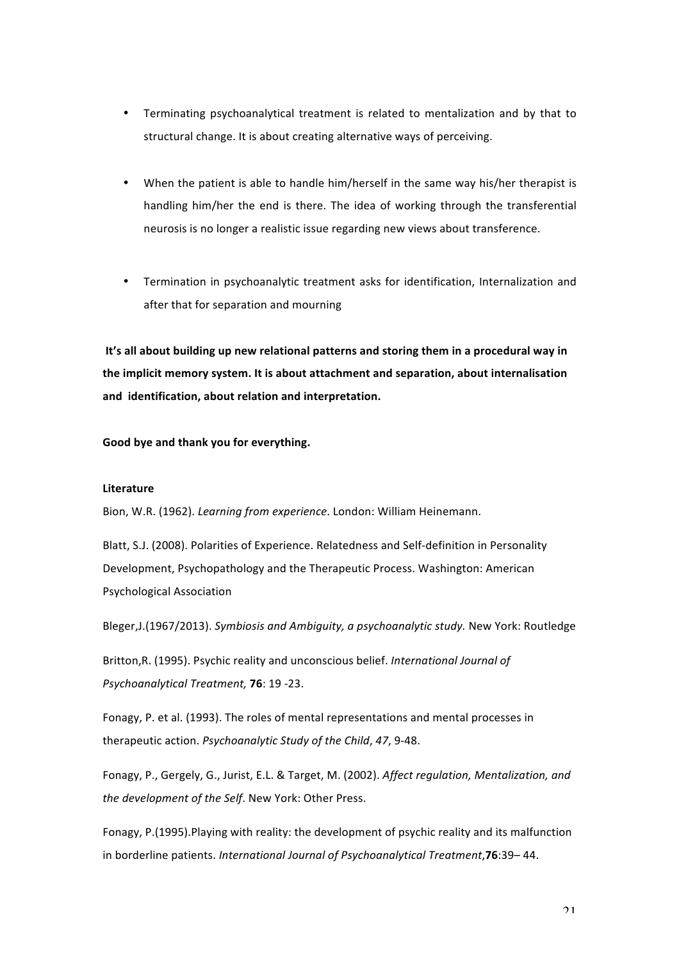- Terminating psychoanalytical treatment is related to mentalization and by that to structural change. It is about creating alternative ways of perceiving.
- When the patient is able to handle him/herself in the same way his/her therapist is handling him/her the end is there. The idea of working through the transferential neurosis is no longer a realistic issue regarding new views about transference.
- Termination in psychoanalytic treatment asks for identification, Internalization and after that for separation and mourning

It's all about building up new relational patterns and storing them in a procedural way in the implicit memory system. It is about attachment and separation, about internalisation and identification, about relation and interpretation.

Good bye and thank you for everything.

## **Literature**

Bion, W.R. (1962). *Learning from experience*. London: William Heinemann.

Blatt, S.J. (2008). Polarities of Experience. Relatedness and Self-definition in Personality Development, Psychopathology and the Therapeutic Process. Washington: American Psychological Association

Bleger,J.(1967/2013). *Symbiosis and Ambiguity, a psychoanalytic study*. New York: Routledge

Britton, R. (1995). Psychic reality and unconscious belief. *International Journal of Psychoanalytical Treatment,* **76**: 19 -23.

Fonagy, P. et al. (1993). The roles of mental representations and mental processes in therapeutic action. *Psychoanalytic Study of the Child*, 47, 9-48.

Fonagy, P., Gergely, G., Jurist, E.L. & Target, M. (2002). Affect regulation, Mentalization, and the development of the Self. New York: Other Press.

Fonagy, P.(1995). Playing with reality: the development of psychic reality and its malfunction in borderline patients. *International Journal of Psychoanalytical Treatment*, **76**:39–44.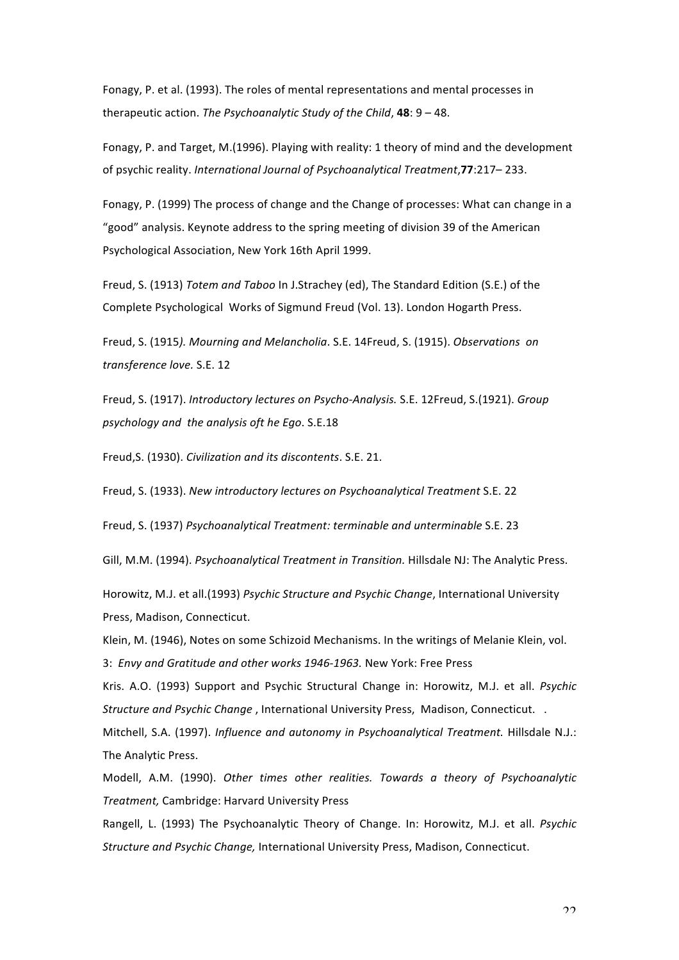Fonagy, P. et al. (1993). The roles of mental representations and mental processes in therapeutic action. *The Psychoanalytic Study of the Child*, **48**: 9 - 48.

Fonagy, P. and Target, M.(1996). Playing with reality: 1 theory of mind and the development of psychic reality. *International Journal of Psychoanalytical Treatment*, **77**:217–233.

Fonagy, P. (1999) The process of change and the Change of processes: What can change in a "good" analysis. Keynote address to the spring meeting of division 39 of the American Psychological Association, New York 16th April 1999.

Freud, S. (1913) *Totem and Taboo* In J.Strachey (ed), The Standard Edition (S.E.) of the Complete Psychological Works of Sigmund Freud (Vol. 13). London Hogarth Press.

Freud, S. (1915). Mourning and Melancholia. S.E. 14Freud, S. (1915). Observations on *transference love.* S.E. 12

Freud, S. (1917). *Introductory lectures on Psycho-Analysis.* S.E. 12Freud, S.(1921). *Group psychology and the analysis oft he Ego*. S.E.18 

Freud,S. (1930). *Civilization and its discontents*. S.E. 21.

Freud, S. (1933). *New introductory lectures on Psychoanalytical Treatment* S.E. 22

Freud, S. (1937) Psychoanalytical Treatment: terminable and unterminable S.E. 23

Gill, M.M. (1994). *Psychoanalytical Treatment in Transition.* Hillsdale NJ: The Analytic Press.

Horowitz, M.J. et all.(1993) Psychic Structure and Psychic Change, International University Press, Madison, Connecticut.

Klein, M. (1946), Notes on some Schizoid Mechanisms. In the writings of Melanie Klein, vol. 3: *Envy and Gratitude and other works 1946-1963.* New York: Free Press

Kris. A.O. (1993) Support and Psychic Structural Change in: Horowitz, M.J. et all. Psychic *Structure and Psychic Change*, International University Press, Madison, Connecticut. .

Mitchell, S.A. (1997). *Influence and autonomy in Psychoanalytical Treatment.* Hillsdale N.J.: The Analytic Press.

Modell, A.M. (1990). Other times other realities. Towards a theory of Psychoanalytic *Treatment,* Cambridge: Harvard University Press

Rangell, L. (1993) The Psychoanalytic Theory of Change. In: Horowitz, M.J. et all. *Psychic Structure and Psychic Change, International University Press, Madison, Connecticut.*